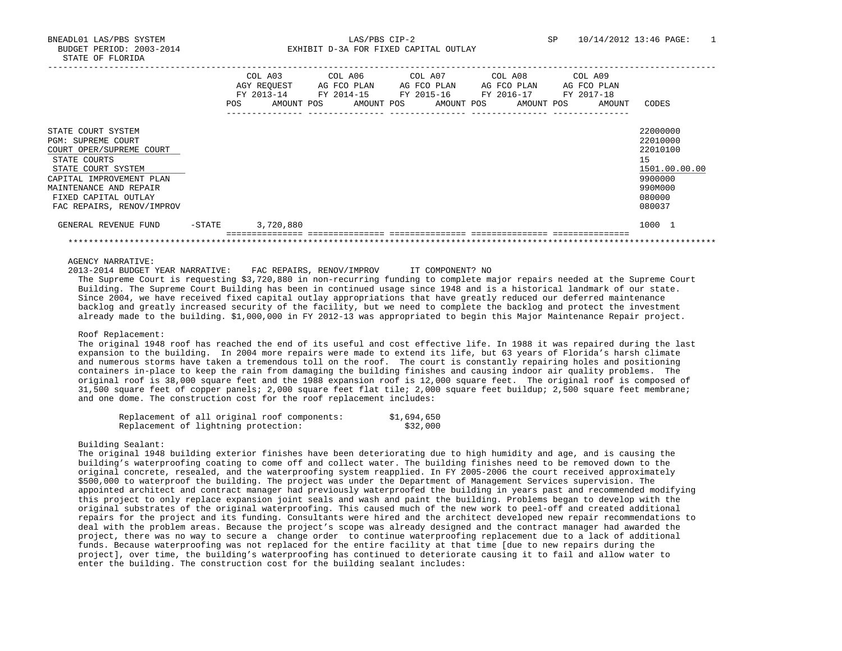|                                                                                                                                                                                                                              |           | POS | COL A03<br>AGY REOUEST<br>FY 2013-14<br>AMOUNT POS | COL A06<br>AG FCO PLAN<br>FY 2014-15 | AMOUNT POS | COL A07 | AG FCO PLAN<br>FY 2015-16<br>AMOUNT POS |  | COL A08<br>AG FCO PLAN<br>FY 2016-17<br>AMOUNT POS | COL A09<br>FY 2017-18 | AG FCO PLAN<br>AMOUNT | CODES                                                                                             |
|------------------------------------------------------------------------------------------------------------------------------------------------------------------------------------------------------------------------------|-----------|-----|----------------------------------------------------|--------------------------------------|------------|---------|-----------------------------------------|--|----------------------------------------------------|-----------------------|-----------------------|---------------------------------------------------------------------------------------------------|
| STATE COURT SYSTEM<br><b>PGM: SUPREME COURT</b><br>COURT OPER/SUPREME COURT<br>STATE COURTS<br>STATE COURT SYSTEM<br>CAPITAL IMPROVEMENT PLAN<br>MAINTENANCE AND REPAIR<br>FIXED CAPITAL OUTLAY<br>FAC REPAIRS, RENOV/IMPROV |           |     |                                                    |                                      |            |         |                                         |  |                                                    |                       |                       | 22000000<br>22010000<br>22010100<br>15<br>1501.00.00.00<br>9900000<br>990M000<br>080000<br>080037 |
| GENERAL REVENUE FUND                                                                                                                                                                                                         | $-$ STATE |     | 3,720,880                                          |                                      |            |         |                                         |  |                                                    |                       |                       | 1000 1                                                                                            |
|                                                                                                                                                                                                                              |           |     |                                                    |                                      |            |         |                                         |  |                                                    |                       |                       |                                                                                                   |

### AGENCY NARRATIVE:

2013-2014 BUDGET YEAR NARRATIVE: FAC REPAIRS, RENOV/IMPROV IT COMPONENT? NO

 The Supreme Court is requesting \$3,720,880 in non-recurring funding to complete major repairs needed at the Supreme Court Building. The Supreme Court Building has been in continued usage since 1948 and is a historical landmark of our state. Since 2004, we have received fixed capital outlay appropriations that have greatly reduced our deferred maintenance backlog and greatly increased security of the facility, but we need to complete the backlog and protect the investment already made to the building. \$1,000,000 in FY 2012-13 was appropriated to begin this Major Maintenance Repair project.

### Roof Replacement:

 The original 1948 roof has reached the end of its useful and cost effective life. In 1988 it was repaired during the last expansion to the building. In 2004 more repairs were made to extend its life, but 63 years of Florida's harsh climate and numerous storms have taken a tremendous toll on the roof. The court is constantly repairing holes and positioning containers in-place to keep the rain from damaging the building finishes and causing indoor air quality problems. The original roof is 38,000 square feet and the 1988 expansion roof is 12,000 square feet. The original roof is composed of 31,500 square feet of copper panels; 2,000 square feet flat tile; 2,000 square feet buildup; 2,500 square feet membrane; and one dome. The construction cost for the roof replacement includes:

|                                      |  |  | Replacement of all original roof components: | \$1,694,650 |          |
|--------------------------------------|--|--|----------------------------------------------|-------------|----------|
| Replacement of lightning protection: |  |  |                                              |             | \$32,000 |

#### Building Sealant:

 The original 1948 building exterior finishes have been deteriorating due to high humidity and age, and is causing the building's waterproofing coating to come off and collect water. The building finishes need to be removed down to the original concrete, resealed, and the waterproofing system reapplied. In FY 2005-2006 the court received approximately \$500,000 to waterproof the building. The project was under the Department of Management Services supervision. The appointed architect and contract manager had previously waterproofed the building in years past and recommended modifying this project to only replace expansion joint seals and wash and paint the building. Problems began to develop with the original substrates of the original waterproofing. This caused much of the new work to peel-off and created additional repairs for the project and its funding. Consultants were hired and the architect developed new repair recommendations to deal with the problem areas. Because the project's scope was already designed and the contract manager had awarded the project, there was no way to secure a change order to continue waterproofing replacement due to a lack of additional funds. Because waterproofing was not replaced for the entire facility at that time [due to new repairs during the project], over time, the building's waterproofing has continued to deteriorate causing it to fail and allow water to enter the building. The construction cost for the building sealant includes: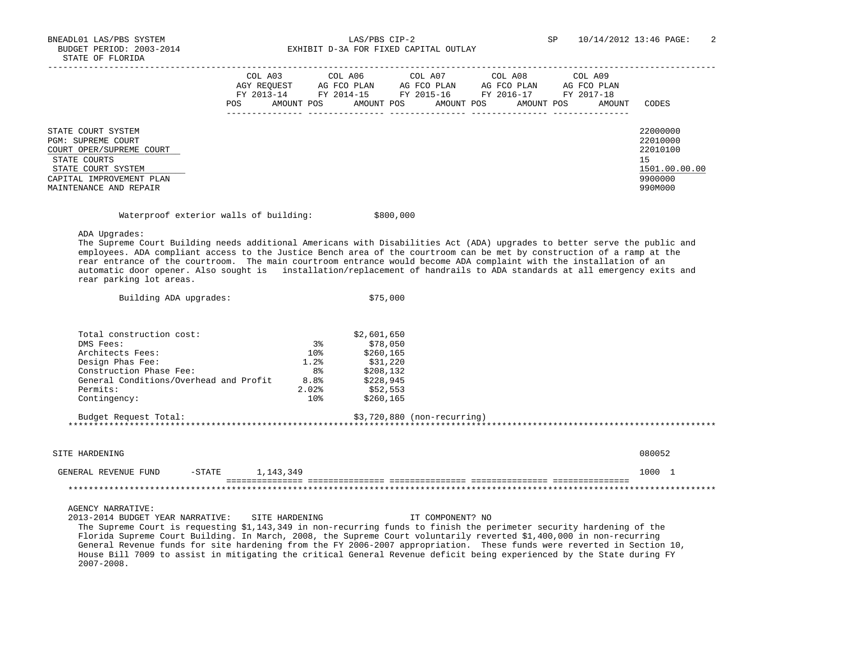BNEADL01 LAS/PBS SYSTEM LAS/PBS CIP-2 SP 10/14/2012 13:46 PAGE: 2 BUDGET PERIOD: 2003-2014 **EXHIBIT D-3A FOR FIXED CAPITAL OUTLAY** 

# Waterproof exterior walls of building:  $$800,000$

Building ADA upgrades:  $$75,000$ 

ADA Upgrades:

 The Supreme Court Building needs additional Americans with Disabilities Act (ADA) upgrades to better serve the public and employees. ADA compliant access to the Justice Bench area of the courtroom can be met by construction of a ramp at the rear entrance of the courtroom. The main courtroom entrance would become ADA complaint with the installation of an automatic door opener. Also sought is installation/replacement of handrails to ADA standards at all emergency exits and rear parking lot areas.

| Total construction cost:                                                                                             |                 | \$2,601,650                  |                  |        |
|----------------------------------------------------------------------------------------------------------------------|-----------------|------------------------------|------------------|--------|
| DMS Fees:                                                                                                            | 3 <sup>8</sup>  | \$78,050                     |                  |        |
| Architects Fees:                                                                                                     | 10 <sup>8</sup> | \$260,165                    |                  |        |
| Design Phas Fee:                                                                                                     | 1.2%            | \$31,220                     |                  |        |
| Construction Phase Fee:                                                                                              | 8%              | \$208,132                    |                  |        |
| General Conditions/Overhead and Profit                                                                               | 8.8%            | \$228,945                    |                  |        |
| Permits:                                                                                                             | $2.02$ $%$      | \$52,553                     |                  |        |
| Contingency:                                                                                                         | $10\%$          | \$260,165                    |                  |        |
| Budget Request Total:                                                                                                |                 | $$3,720,880$ (non-recurring) |                  |        |
|                                                                                                                      |                 |                              |                  |        |
|                                                                                                                      |                 |                              |                  |        |
|                                                                                                                      |                 |                              |                  |        |
| SITE HARDENING                                                                                                       |                 |                              |                  | 080052 |
|                                                                                                                      |                 |                              |                  |        |
| 1,143,349<br>GENERAL REVENUE FUND<br>$-$ STATE                                                                       |                 |                              |                  | 1000 1 |
|                                                                                                                      |                 |                              |                  |        |
|                                                                                                                      |                 |                              |                  |        |
|                                                                                                                      |                 |                              |                  |        |
| <b>AGENCY NARRATIVE:</b>                                                                                             |                 |                              |                  |        |
| 2013-2014 BUDGET YEAR NARRATIVE:<br>SITE HARDENING                                                                   |                 |                              | IT COMPONENT? NO |        |
| The Supreme Court is requesting \$1,143,349 in non-recurring funds to finish the perimeter security hardening of the |                 |                              |                  |        |
| Florida Supreme Court Building. In March, 2008, the Supreme Court voluntarily reverted \$1,400,000 in non-recurring  |                 |                              |                  |        |

 General Revenue funds for site hardening from the FY 2006-2007 appropriation. These funds were reverted in Section 10, House Bill 7009 to assist in mitigating the critical General Revenue deficit being experienced by the State during FY 2007-2008.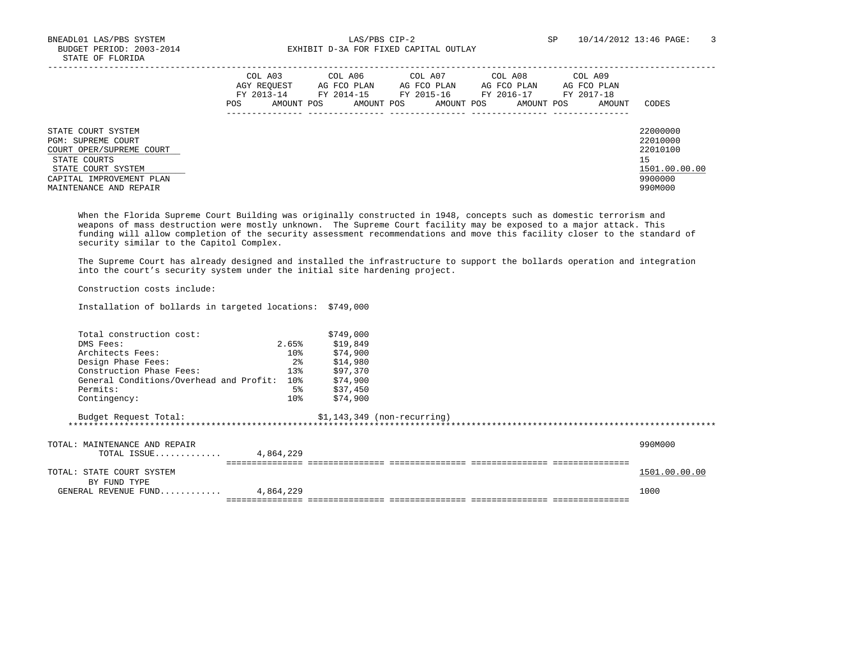BNEADL01 LAS/PBS SYSTEM LAS/PBS CIP-2 SP 10/14/2012 13:46 PAGE: 3 BUDGET PERIOD: 2003-2014 **EXHIBIT D-3A FOR FIXED CAPITAL OUTLAY** 

|                                                                                                                                                                  | COL A03<br>AGY REOUEST<br>FY 2013-14<br>AMOUNT POS<br>POS | COL A06<br>AG FCO PLAN<br>FY 2014-15<br>AMOUNT POS | COL A07<br>AG FCO PLAN<br>FY 2015-16<br>AMOUNT POS | COL A08<br>AG FCO PLAN<br>FY 2016-17<br>AMOUNT POS | COL A09<br>AG FCO PLAN<br>FY 2017-18<br>AMOUNT | CODES                                                                         |
|------------------------------------------------------------------------------------------------------------------------------------------------------------------|-----------------------------------------------------------|----------------------------------------------------|----------------------------------------------------|----------------------------------------------------|------------------------------------------------|-------------------------------------------------------------------------------|
| STATE COURT SYSTEM<br>PGM: SUPREME COURT<br>COURT OPER/SUPREME COURT<br>STATE COURTS<br>STATE COURT SYSTEM<br>CAPITAL IMPROVEMENT PLAN<br>MAINTENANCE AND REPAIR |                                                           |                                                    |                                                    |                                                    |                                                | 22000000<br>22010000<br>22010100<br>15<br>1501.00.00.00<br>9900000<br>990M000 |

 When the Florida Supreme Court Building was originally constructed in 1948, concepts such as domestic terrorism and weapons of mass destruction were mostly unknown. The Supreme Court facility may be exposed to a major attack. This funding will allow completion of the security assessment recommendations and move this facility closer to the standard of security similar to the Capitol Complex.

 The Supreme Court has already designed and installed the infrastructure to support the bollards operation and integration into the court's security system under the initial site hardening project.

Construction costs include:

Installation of bollards in targeted locations: \$749,000

| Total construction cost:                     |                 | \$749,000 |                              |               |
|----------------------------------------------|-----------------|-----------|------------------------------|---------------|
| DMS Fees:                                    | 2.65%           | \$19,849  |                              |               |
| Architects Fees:                             | 10 <sub>8</sub> | \$74,900  |                              |               |
| Design Phase Fees:                           | $2\frac{6}{9}$  | \$14,980  |                              |               |
| Construction Phase Fees:                     | 13%             | \$97,370  |                              |               |
| General Conditions/Overhead and Profit:      | 10 <sub>8</sub> | \$74,900  |                              |               |
| Permits:                                     | 5%              | \$37,450  |                              |               |
| Contingency:                                 | 10 <sup>8</sup> | \$74,900  |                              |               |
| Budget Request Total:                        |                 |           | $$1,143,349$ (non-recurring) |               |
| TOTAL: MAINTENANCE AND REPAIR<br>TOTAL ISSUE | 4,864,229       |           |                              | 990M000       |
| TOTAL: STATE COURT SYSTEM<br>BY FUND TYPE    |                 |           |                              | 1501.00.00.00 |
| GENERAL REVENUE FUND                         | 4,864,229       |           |                              | 1000          |
|                                              |                 |           |                              |               |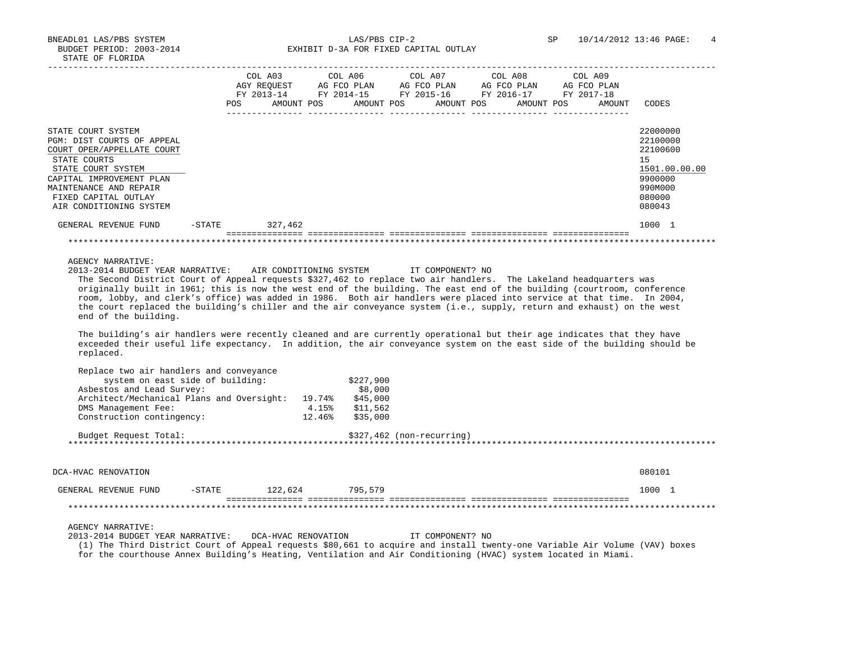BNEADL01 LAS/PBS SYSTEM  $LAS/PBS$  CIP-2  $LAS/PBS$  CIP-2  $SP$  10/14/2012 13:46 PAGE: 4 BUDGET PERIOD: 2003-2014 EXHIBIT D-3A FOR FIXED CAPITAL OUTLAY EXHIBIT D-3A FOR FIXED CAPITAL OUTLAY

|                                                                                                                                                                                                                                                                                                                                                                                                                                                                                                                                                                                                   |            |            |  |            |            | COL A03 COL A06 COL A07 COL A08 COL A09<br>AGY REOUEST AG FCO PLAN AG FCO PLAN AG FCO PLAN<br>FY 2013-14 FY 2014-15 FY 2015-16 FY 2016-17 | AG FCO PLAN<br>FY 2017-18 |                                                                                                   |
|---------------------------------------------------------------------------------------------------------------------------------------------------------------------------------------------------------------------------------------------------------------------------------------------------------------------------------------------------------------------------------------------------------------------------------------------------------------------------------------------------------------------------------------------------------------------------------------------------|------------|------------|--|------------|------------|-------------------------------------------------------------------------------------------------------------------------------------------|---------------------------|---------------------------------------------------------------------------------------------------|
|                                                                                                                                                                                                                                                                                                                                                                                                                                                                                                                                                                                                   | <b>POS</b> | AMOUNT POS |  | AMOUNT POS | AMOUNT POS | AMOUNT POS                                                                                                                                | AMOUNT                    | CODES                                                                                             |
| STATE COURT SYSTEM<br>PGM: DIST COURTS OF APPEAL<br>COURT OPER/APPELLATE COURT<br>STATE COURTS<br>STATE COURT SYSTEM<br>CAPITAL IMPROVEMENT PLAN<br>MAINTENANCE AND REPAIR<br>FIXED CAPITAL OUTLAY<br>AIR CONDITIONING SYSTEM                                                                                                                                                                                                                                                                                                                                                                     |            |            |  |            |            |                                                                                                                                           |                           | 22000000<br>22100000<br>22100600<br>15<br>1501.00.00.00<br>9900000<br>990M000<br>080000<br>080043 |
| GENERAL REVENUE FUND -STATE                                                                                                                                                                                                                                                                                                                                                                                                                                                                                                                                                                       |            | 327,462    |  |            |            |                                                                                                                                           |                           | 1000 1                                                                                            |
|                                                                                                                                                                                                                                                                                                                                                                                                                                                                                                                                                                                                   |            |            |  |            |            |                                                                                                                                           |                           |                                                                                                   |
| AGENCY NARRATIVE:<br>2013-2014 BUDGET YEAR NARRATIVE: AIR CONDITIONING SYSTEM TT COMPONENT? NO<br>The Second District Court of Appeal requests \$327,462 to replace two air handlers. The Lakeland headquarters was<br>originally built in 1961; this is now the west end of the building. The east end of the building (courtroom, conference<br>room, lobby, and clerk's office) was added in 1986. Both air handlers were placed into service at that time. In 2004,<br>the court replaced the building's chiller and the air conveyance system (i.e., supply, return and exhaust) on the west |            |            |  |            |            |                                                                                                                                           |                           |                                                                                                   |

The building's air handlers were recently cleaned and are currently operational but their age indicates that they have exceeded their useful life expectancy. In addition, the air conveyance system on the east side of the building should be replaced.

| Replace two air handlers and conveyance      |        |                            |        |
|----------------------------------------------|--------|----------------------------|--------|
| system on east side of building:             |        | \$227,900                  |        |
| Asbestos and Lead Survey:                    |        | \$8,000                    |        |
| Architect/Mechanical Plans and Oversight:    | 19.74% | \$45,000                   |        |
| DMS Management Fee:                          | 4.15%  | \$11,562                   |        |
| Construction contingency:                    | 12.46% | \$35,000                   |        |
| Budget Request Total:                        |        | $$327,462$ (non-recurring) |        |
|                                              |        |                            |        |
| DCA-HVAC RENOVATION                          |        |                            | 080101 |
|                                              |        |                            |        |
| 122,624<br>$-$ STATE<br>GENERAL REVENUE FUND |        | 795,579                    | 1000 1 |
|                                              |        |                            |        |
|                                              |        |                            |        |

### AGENCY NARRATIVE:

end of the building.

2013-2014 BUDGET YEAR NARRATIVE: DCA-HVAC RENOVATION IT COMPONENT? NO

 (1) The Third District Court of Appeal requests \$80,661 to acquire and install twenty-one Variable Air Volume (VAV) boxes for the courthouse Annex Building's Heating, Ventilation and Air Conditioning (HVAC) system located in Miami.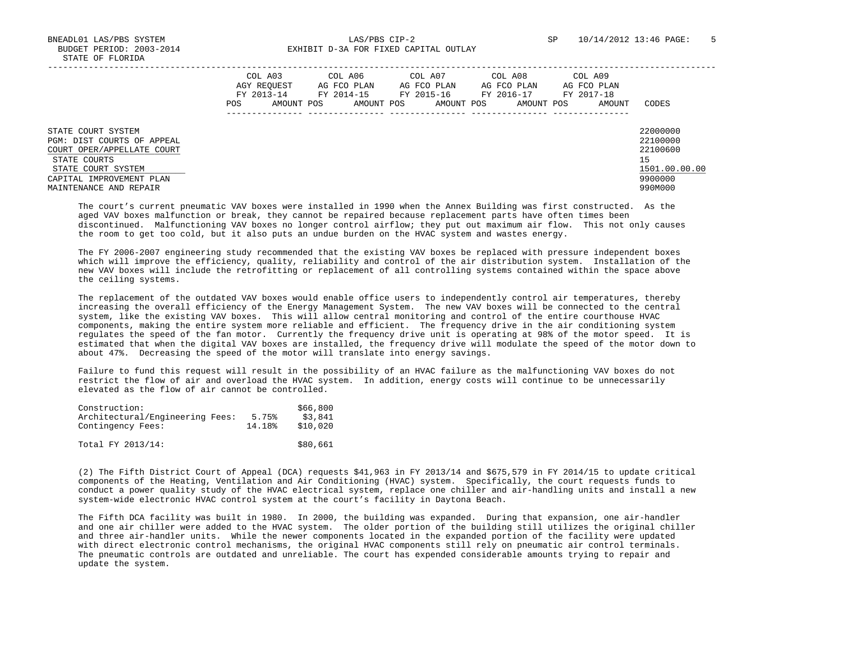BNEADL01 LAS/PBS SYSTEM LAS/PBS CIP-2 SP 10/14/2012 13:46 PAGE: 5 BUDGET PERIOD: 2003-2014 **EXHIBIT D-3A FOR FIXED CAPITAL OUTLAY** 

|                                                                                                                                                                            | COL A03<br>AGY REOUEST<br>FY 2013-14<br>AMOUNT POS<br>POS. | COL A06<br>AG FCO PLAN<br>FY 2014-15<br>AMOUNT POS | COL A07<br>AG FCO PLAN<br>FY 2015-16<br>AMOUNT POS | COL A08<br>AG FCO PLAN<br>FY 2016-17<br>AMOUNT POS | COL A09<br>AG FCO PLAN<br>FY 2017-18<br>AMOUNT | CODES                                                                         |
|----------------------------------------------------------------------------------------------------------------------------------------------------------------------------|------------------------------------------------------------|----------------------------------------------------|----------------------------------------------------|----------------------------------------------------|------------------------------------------------|-------------------------------------------------------------------------------|
| STATE COURT SYSTEM<br>PGM: DIST COURTS OF APPEAL<br>COURT OPER/APPELLATE COURT<br>STATE COURTS<br>STATE COURT SYSTEM<br>CAPITAL IMPROVEMENT PLAN<br>MAINTENANCE AND REPAIR |                                                            |                                                    |                                                    |                                                    |                                                | 22000000<br>22100000<br>22100600<br>15<br>1501.00.00.00<br>9900000<br>990M000 |

 The court's current pneumatic VAV boxes were installed in 1990 when the Annex Building was first constructed. As the aged VAV boxes malfunction or break, they cannot be repaired because replacement parts have often times been discontinued. Malfunctioning VAV boxes no longer control airflow; they put out maximum air flow. This not only causes the room to get too cold, but it also puts an undue burden on the HVAC system and wastes energy.

 The FY 2006-2007 engineering study recommended that the existing VAV boxes be replaced with pressure independent boxes which will improve the efficiency, quality, reliability and control of the air distribution system. Installation of the new VAV boxes will include the retrofitting or replacement of all controlling systems contained within the space above the ceiling systems.

 The replacement of the outdated VAV boxes would enable office users to independently control air temperatures, thereby increasing the overall efficiency of the Energy Management System. The new VAV boxes will be connected to the central system, like the existing VAV boxes. This will allow central monitoring and control of the entire courthouse HVAC components, making the entire system more reliable and efficient. The frequency drive in the air conditioning system regulates the speed of the fan motor. Currently the frequency drive unit is operating at 98% of the motor speed. It is estimated that when the digital VAV boxes are installed, the frequency drive will modulate the speed of the motor down to about 47%. Decreasing the speed of the motor will translate into energy savings.

 Failure to fund this request will result in the possibility of an HVAC failure as the malfunctioning VAV boxes do not restrict the flow of air and overload the HVAC system. In addition, energy costs will continue to be unnecessarily elevated as the flow of air cannot be controlled.

| Construction:<br>Architectural/Engineering Fees:<br>Contingency Fees: | 5.75%<br>14.18% | \$66,800<br>\$3,841<br>\$10,020 |
|-----------------------------------------------------------------------|-----------------|---------------------------------|
| Total FY 2013/14:                                                     |                 | \$80,661                        |

 (2) The Fifth District Court of Appeal (DCA) requests \$41,963 in FY 2013/14 and \$675,579 in FY 2014/15 to update critical components of the Heating, Ventilation and Air Conditioning (HVAC) system. Specifically, the court requests funds to conduct a power quality study of the HVAC electrical system, replace one chiller and air-handling units and install a new system-wide electronic HVAC control system at the court's facility in Daytona Beach.

 The Fifth DCA facility was built in 1980. In 2000, the building was expanded. During that expansion, one air-handler and one air chiller were added to the HVAC system. The older portion of the building still utilizes the original chiller and three air-handler units. While the newer components located in the expanded portion of the facility were updated with direct electronic control mechanisms, the original HVAC components still rely on pneumatic air control terminals. The pneumatic controls are outdated and unreliable. The court has expended considerable amounts trying to repair and update the system.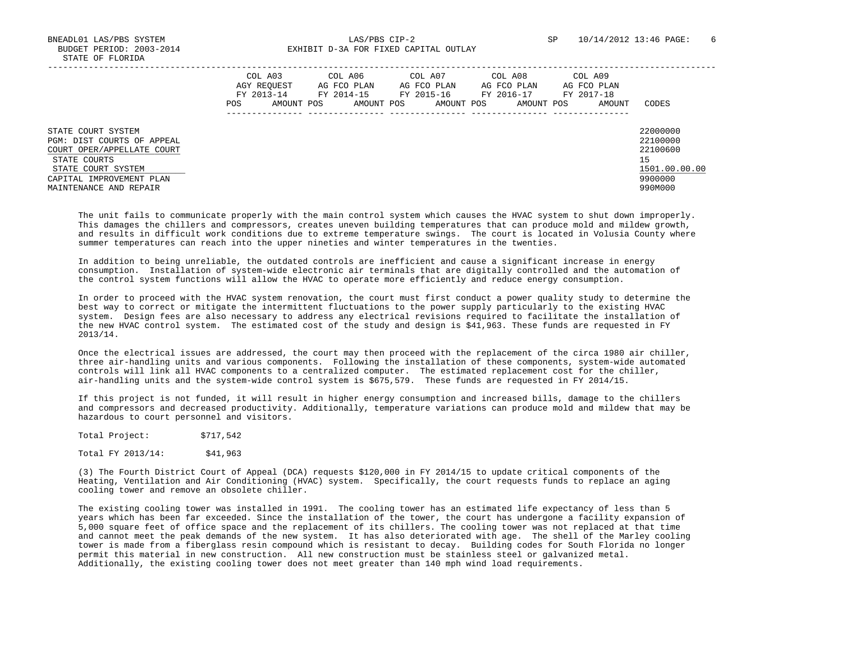|                                                                                                                                                                            | COL A03<br>AGY REOUEST<br>FY 2013-14<br><b>POS</b> | COL A06<br>AG FCO PLAN<br>FY 2014-15<br>AMOUNT POS<br>AMOUNT POS | COL A07<br>AG FCO PLAN<br>FY 2015-16<br>AMOUNT POS | COL A08<br>AG FCO PLAN<br>FY 2016-17<br>AMOUNT POS | COL A09<br>AG FCO PLAN<br>FY 2017-18<br>AMOUNT | CODES                                                                         |
|----------------------------------------------------------------------------------------------------------------------------------------------------------------------------|----------------------------------------------------|------------------------------------------------------------------|----------------------------------------------------|----------------------------------------------------|------------------------------------------------|-------------------------------------------------------------------------------|
| STATE COURT SYSTEM<br>PGM: DIST COURTS OF APPEAL<br>COURT OPER/APPELLATE COURT<br>STATE COURTS<br>STATE COURT SYSTEM<br>CAPITAL IMPROVEMENT PLAN<br>MAINTENANCE AND REPAIR |                                                    |                                                                  |                                                    |                                                    |                                                | 22000000<br>22100000<br>22100600<br>15<br>1501.00.00.00<br>9900000<br>990M000 |

 The unit fails to communicate properly with the main control system which causes the HVAC system to shut down improperly. This damages the chillers and compressors, creates uneven building temperatures that can produce mold and mildew growth, and results in difficult work conditions due to extreme temperature swings. The court is located in Volusia County where summer temperatures can reach into the upper nineties and winter temperatures in the twenties.

 In addition to being unreliable, the outdated controls are inefficient and cause a significant increase in energy consumption. Installation of system-wide electronic air terminals that are digitally controlled and the automation of the control system functions will allow the HVAC to operate more efficiently and reduce energy consumption.

 In order to proceed with the HVAC system renovation, the court must first conduct a power quality study to determine the best way to correct or mitigate the intermittent fluctuations to the power supply particularly to the existing HVAC system. Design fees are also necessary to address any electrical revisions required to facilitate the installation of the new HVAC control system. The estimated cost of the study and design is \$41,963. These funds are requested in FY 2013/14.

 Once the electrical issues are addressed, the court may then proceed with the replacement of the circa 1980 air chiller, three air-handling units and various components. Following the installation of these components, system-wide automated controls will link all HVAC components to a centralized computer. The estimated replacement cost for the chiller, air-handling units and the system-wide control system is \$675,579. These funds are requested in FY 2014/15.

 If this project is not funded, it will result in higher energy consumption and increased bills, damage to the chillers and compressors and decreased productivity. Additionally, temperature variations can produce mold and mildew that may be hazardous to court personnel and visitors.

| Total Project: | \$717,542 |
|----------------|-----------|
|----------------|-----------|

Total FY 2013/14: \$41,963

 (3) The Fourth District Court of Appeal (DCA) requests \$120,000 in FY 2014/15 to update critical components of the Heating, Ventilation and Air Conditioning (HVAC) system. Specifically, the court requests funds to replace an aging cooling tower and remove an obsolete chiller.

 The existing cooling tower was installed in 1991. The cooling tower has an estimated life expectancy of less than 5 years which has been far exceeded. Since the installation of the tower, the court has undergone a facility expansion of 5,000 square feet of office space and the replacement of its chillers. The cooling tower was not replaced at that time and cannot meet the peak demands of the new system. It has also deteriorated with age. The shell of the Marley cooling tower is made from a fiberglass resin compound which is resistant to decay. Building codes for South Florida no longer permit this material in new construction. All new construction must be stainless steel or galvanized metal. Additionally, the existing cooling tower does not meet greater than 140 mph wind load requirements.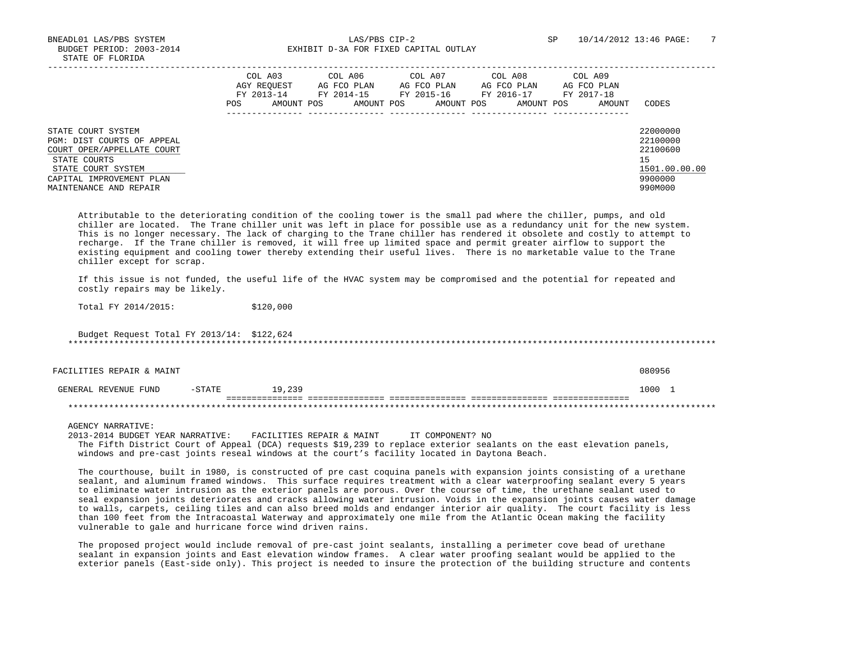|                                                                                                                                                                            | COL A03<br>AGY REOUEST<br>FY 2013-14<br>AMOUNT POS<br><b>POS</b> | COL A06<br>AG FCO PLAN<br>FY 2014-15<br>AMOUNT POS | COL A07<br>AG FCO PLAN<br>FY 2015-16<br>AMOUNT POS | COL A08<br>AG FCO PLAN<br>FY 2016-17<br>AMOUNT POS | COL A09<br>AG FCO PLAN<br>FY 2017-18<br>AMOUNT | CODES                                                                         |
|----------------------------------------------------------------------------------------------------------------------------------------------------------------------------|------------------------------------------------------------------|----------------------------------------------------|----------------------------------------------------|----------------------------------------------------|------------------------------------------------|-------------------------------------------------------------------------------|
| STATE COURT SYSTEM<br>PGM: DIST COURTS OF APPEAL<br>COURT OPER/APPELLATE COURT<br>STATE COURTS<br>STATE COURT SYSTEM<br>CAPITAL IMPROVEMENT PLAN<br>MAINTENANCE AND REPAIR |                                                                  |                                                    |                                                    |                                                    |                                                | 22000000<br>22100000<br>22100600<br>15<br>1501.00.00.00<br>9900000<br>990M000 |

 Attributable to the deteriorating condition of the cooling tower is the small pad where the chiller, pumps, and old chiller are located. The Trane chiller unit was left in place for possible use as a redundancy unit for the new system. This is no longer necessary. The lack of charging to the Trane chiller has rendered it obsolete and costly to attempt to recharge. If the Trane chiller is removed, it will free up limited space and permit greater airflow to support the existing equipment and cooling tower thereby extending their useful lives. There is no marketable value to the Trane chiller except for scrap.

 If this issue is not funded, the useful life of the HVAC system may be compromised and the potential for repeated and costly repairs may be likely.

Total FY 2014/2015: \$120,000

 Budget Request Total FY 2013/14: \$122,624 \*\*\*\*\*\*\*\*\*\*\*\*\*\*\*\*\*\*\*\*\*\*\*\*\*\*\*\*\*\*\*\*\*\*\*\*\*\*\*\*\*\*\*\*\*\*\*\*\*\*\*\*\*\*\*\*\*\*\*\*\*\*\*\*\*\*\*\*\*\*\*\*\*\*\*\*\*\*\*\*\*\*\*\*\*\*\*\*\*\*\*\*\*\*\*\*\*\*\*\*\*\*\*\*\*\*\*\*\*\*\*\*\*\*\*\*\*\*\*\*\*\*\*\*\*\*\*

FACILITIES REPAIR & MAINT 080956

| रUNL<br>,,,,,,,,<br>$\kappa$ NERA'<br>GNUE | . <del>.</del> | າາດ<br>ົດ<br>$\sim$ $\sim$ | 1000                                                                                               |  |
|--------------------------------------------|----------------|----------------------------|----------------------------------------------------------------------------------------------------|--|
|                                            |                | ________________           | _ _ _ _ _ _ _ _ _ _ _ _<br>_______<br>-------------<br>_________<br>_______________<br>___________ |  |
| .                                          |                |                            |                                                                                                    |  |

AGENCY NARRATIVE:

 2013-2014 BUDGET YEAR NARRATIVE: FACILITIES REPAIR & MAINT IT COMPONENT? NO The Fifth District Court of Appeal (DCA) requests \$19,239 to replace exterior sealants on the east elevation panels, windows and pre-cast joints reseal windows at the court's facility located in Daytona Beach.

 The courthouse, built in 1980, is constructed of pre cast coquina panels with expansion joints consisting of a urethane sealant, and aluminum framed windows. This surface requires treatment with a clear waterproofing sealant every 5 years to eliminate water intrusion as the exterior panels are porous. Over the course of time, the urethane sealant used to seal expansion joints deteriorates and cracks allowing water intrusion. Voids in the expansion joints causes water damage to walls, carpets, ceiling tiles and can also breed molds and endanger interior air quality. The court facility is less than 100 feet from the Intracoastal Waterway and approximately one mile from the Atlantic Ocean making the facility vulnerable to gale and hurricane force wind driven rains.

 The proposed project would include removal of pre-cast joint sealants, installing a perimeter cove bead of urethane sealant in expansion joints and East elevation window frames. A clear water proofing sealant would be applied to the exterior panels (East-side only). This project is needed to insure the protection of the building structure and contents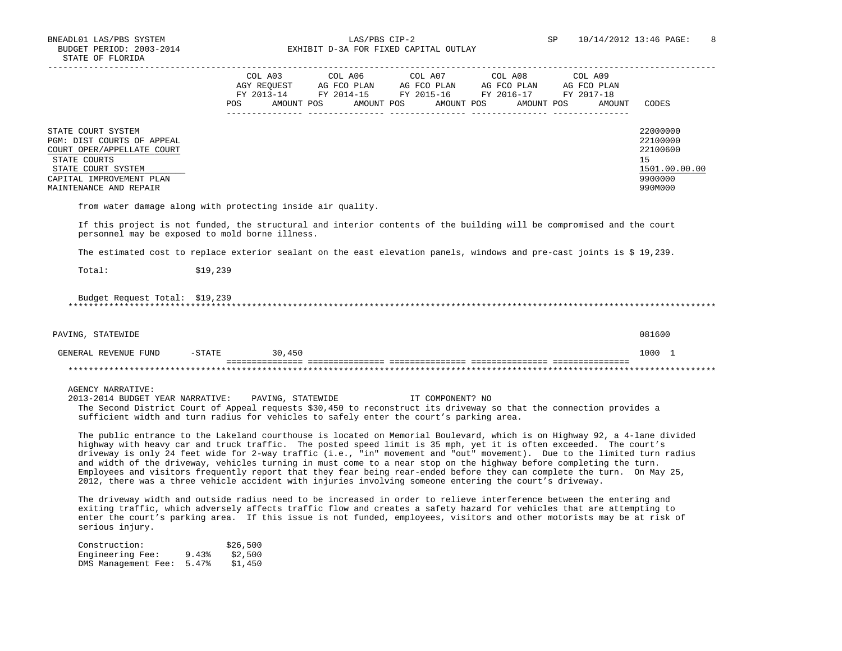BNEADL01 LAS/PBS SYSTEM LAS/PBS CIP-2 SP 10/14/2012 13:46 PAGE: 8 BUDGET PERIOD: 2003-2014 **EXHIBIT D-3A FOR FIXED CAPITAL OUTLAY** 

|                                                                                                                                                                                                                                                                                                                                                                                                                                                                                                                                                                                                                                                                                                                                       |          | COL A03<br>AGY REQUEST | COL A06<br>AG FCO PLAN | COL A07<br>AG FCO PLAN<br>FY 2013-14 FY 2014-15 FY 2015-16 FY 2016-17 | COL A08<br>AG FCO PLAN | COL A09<br>AG FCO PLAN<br>FY 2017-18 |                                                                               |
|---------------------------------------------------------------------------------------------------------------------------------------------------------------------------------------------------------------------------------------------------------------------------------------------------------------------------------------------------------------------------------------------------------------------------------------------------------------------------------------------------------------------------------------------------------------------------------------------------------------------------------------------------------------------------------------------------------------------------------------|----------|------------------------|------------------------|-----------------------------------------------------------------------|------------------------|--------------------------------------|-------------------------------------------------------------------------------|
|                                                                                                                                                                                                                                                                                                                                                                                                                                                                                                                                                                                                                                                                                                                                       | POS      | AMOUNT POS             | AMOUNT POS             | AMOUNT POS                                                            | AMOUNT POS             | AMOUNT                               | CODES                                                                         |
| STATE COURT SYSTEM<br>PGM: DIST COURTS OF APPEAL<br>COURT OPER/APPELLATE COURT<br>STATE COURTS<br>STATE COURT SYSTEM<br>CAPITAL IMPROVEMENT PLAN<br>MAINTENANCE AND REPAIR                                                                                                                                                                                                                                                                                                                                                                                                                                                                                                                                                            |          |                        |                        |                                                                       |                        |                                      | 22000000<br>22100000<br>22100600<br>15<br>1501.00.00.00<br>9900000<br>990M000 |
| from water damage along with protecting inside air quality.                                                                                                                                                                                                                                                                                                                                                                                                                                                                                                                                                                                                                                                                           |          |                        |                        |                                                                       |                        |                                      |                                                                               |
| If this project is not funded, the structural and interior contents of the building will be compromised and the court<br>personnel may be exposed to mold borne illness.                                                                                                                                                                                                                                                                                                                                                                                                                                                                                                                                                              |          |                        |                        |                                                                       |                        |                                      |                                                                               |
| The estimated cost to replace exterior sealant on the east elevation panels, windows and pre-cast joints is \$ 19,239.                                                                                                                                                                                                                                                                                                                                                                                                                                                                                                                                                                                                                |          |                        |                        |                                                                       |                        |                                      |                                                                               |
| Total:                                                                                                                                                                                                                                                                                                                                                                                                                                                                                                                                                                                                                                                                                                                                | \$19,239 |                        |                        |                                                                       |                        |                                      |                                                                               |
| Budget Request Total: \$19,239<br>PAVING, STATEWIDE                                                                                                                                                                                                                                                                                                                                                                                                                                                                                                                                                                                                                                                                                   |          |                        |                        |                                                                       |                        |                                      | 081600                                                                        |
|                                                                                                                                                                                                                                                                                                                                                                                                                                                                                                                                                                                                                                                                                                                                       |          |                        |                        |                                                                       |                        |                                      |                                                                               |
| GENERAL REVENUE FUND<br>$-$ STATE                                                                                                                                                                                                                                                                                                                                                                                                                                                                                                                                                                                                                                                                                                     |          | 30,450                 |                        |                                                                       |                        |                                      | 1000 1                                                                        |
| <b>AGENCY NARRATIVE:</b><br>2013-2014 BUDGET YEAR NARRATIVE:<br>The Second District Court of Appeal requests \$30,450 to reconstruct its driveway so that the connection provides a<br>sufficient width and turn radius for vehicles to safely enter the court's parking area.                                                                                                                                                                                                                                                                                                                                                                                                                                                        |          | PAVING, STATEWIDE      |                        | IT COMPONENT? NO                                                      |                        |                                      |                                                                               |
| The public entrance to the Lakeland courthouse is located on Memorial Boulevard, which is on Highway 92, a 4-lane divided<br>highway with heavy car and truck traffic. The posted speed limit is 35 mph, yet it is often exceeded. The court's<br>driveway is only 24 feet wide for 2-way traffic (i.e., "in" movement and "out" movement). Due to the limited turn radius<br>and width of the driveway, vehicles turning in must come to a near stop on the highway before completing the turn.<br>Employees and visitors frequently report that they fear being rear-ended before they can complete the turn. On May 25,<br>2012, there was a three vehicle accident with injuries involving someone entering the court's driveway. |          |                        |                        |                                                                       |                        |                                      |                                                                               |
| The driveway width and outside radius need to be increased in order to relieve interference between the entering and<br>exiting traffic, which adversely affects traffic flow and creates a safety hazard for vehicles that are attempting to<br>enter the court's parking area. If this issue is not funded, employees, visitors and other motorists may be at risk of<br>serious injury.                                                                                                                                                                                                                                                                                                                                            |          |                        |                        |                                                                       |                        |                                      |                                                                               |

| Construction:       |       | \$26,500 |
|---------------------|-------|----------|
| Engineering Fee:    | 9.43% | \$2,500  |
| DMS Management Fee: | 5.47% | \$1,450  |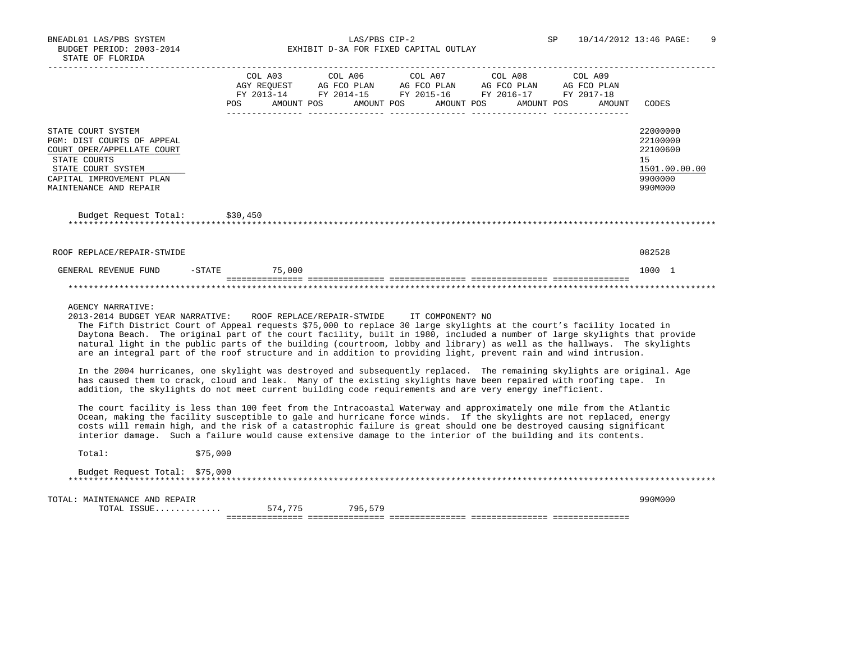|                                                                                                                                                                                                                                                                                                                                                                                                                                                                                                                                                                                                                                                                                                                                                                                                                                                                                                                                                                                                                                                                                                                                                                                                                                                                                                                                                                                                                                                                | COL A03<br>AGY REQUEST<br>FY 2013-14<br>POS | AG FCO PLAN<br>AMOUNT POS | COL A06 | AG FCO PLAN<br>AMOUNT POS | COL A07<br>AMOUNT POS | COL A08<br>AG FCO PLAN<br>FY 2014-15 FY 2015-16 FY 2016-17 FY 2017-18 | AMOUNT POS | COL A09<br>AG FCO PLAN<br>AMOUNT | CODES                                                                         |
|----------------------------------------------------------------------------------------------------------------------------------------------------------------------------------------------------------------------------------------------------------------------------------------------------------------------------------------------------------------------------------------------------------------------------------------------------------------------------------------------------------------------------------------------------------------------------------------------------------------------------------------------------------------------------------------------------------------------------------------------------------------------------------------------------------------------------------------------------------------------------------------------------------------------------------------------------------------------------------------------------------------------------------------------------------------------------------------------------------------------------------------------------------------------------------------------------------------------------------------------------------------------------------------------------------------------------------------------------------------------------------------------------------------------------------------------------------------|---------------------------------------------|---------------------------|---------|---------------------------|-----------------------|-----------------------------------------------------------------------|------------|----------------------------------|-------------------------------------------------------------------------------|
| STATE COURT SYSTEM<br>PGM: DIST COURTS OF APPEAL<br>COURT OPER/APPELLATE COURT<br>STATE COURTS<br>STATE COURT SYSTEM<br>CAPITAL IMPROVEMENT PLAN<br>MAINTENANCE AND REPAIR                                                                                                                                                                                                                                                                                                                                                                                                                                                                                                                                                                                                                                                                                                                                                                                                                                                                                                                                                                                                                                                                                                                                                                                                                                                                                     |                                             |                           |         |                           |                       |                                                                       |            |                                  | 22000000<br>22100000<br>22100600<br>15<br>1501.00.00.00<br>9900000<br>990M000 |
| Budget Request Total:                                                                                                                                                                                                                                                                                                                                                                                                                                                                                                                                                                                                                                                                                                                                                                                                                                                                                                                                                                                                                                                                                                                                                                                                                                                                                                                                                                                                                                          | \$30,450                                    |                           |         |                           |                       |                                                                       |            |                                  |                                                                               |
| ROOF REPLACE/REPAIR-STWIDE                                                                                                                                                                                                                                                                                                                                                                                                                                                                                                                                                                                                                                                                                                                                                                                                                                                                                                                                                                                                                                                                                                                                                                                                                                                                                                                                                                                                                                     |                                             |                           |         |                           |                       |                                                                       |            |                                  | 082528                                                                        |
| GENERAL REVENUE FUND<br>$-$ STATE                                                                                                                                                                                                                                                                                                                                                                                                                                                                                                                                                                                                                                                                                                                                                                                                                                                                                                                                                                                                                                                                                                                                                                                                                                                                                                                                                                                                                              |                                             | 75,000                    |         |                           |                       |                                                                       |            |                                  | 1000 1                                                                        |
| <b>AGENCY NARRATIVE:</b><br>2013-2014 BUDGET YEAR NARRATIVE: ROOF REPLACE/REPAIR-STWIDE IT COMPONENT? NO<br>The Fifth District Court of Appeal requests \$75,000 to replace 30 large skylights at the court's facility located in<br>Daytona Beach. The original part of the court facility, built in 1980, included a number of large skylights that provide<br>natural light in the public parts of the building (courtroom, lobby and library) as well as the hallways. The skylights<br>are an integral part of the roof structure and in addition to providing light, prevent rain and wind intrusion.<br>In the 2004 hurricanes, one skylight was destroyed and subsequently replaced. The remaining skylights are original. Age<br>has caused them to crack, cloud and leak. Many of the existing skylights have been repaired with roofing tape. In<br>addition, the skylights do not meet current building code requirements and are very energy inefficient.<br>The court facility is less than 100 feet from the Intracoastal Waterway and approximately one mile from the Atlantic<br>Ocean, making the facility susceptible to gale and hurricane force winds. If the skylights are not replaced, energy<br>costs will remain high, and the risk of a catastrophic failure is great should one be destroyed causing significant<br>interior damage. Such a failure would cause extensive damage to the interior of the building and its contents. |                                             |                           |         |                           |                       |                                                                       |            |                                  |                                                                               |
|                                                                                                                                                                                                                                                                                                                                                                                                                                                                                                                                                                                                                                                                                                                                                                                                                                                                                                                                                                                                                                                                                                                                                                                                                                                                                                                                                                                                                                                                |                                             |                           |         |                           |                       |                                                                       |            |                                  |                                                                               |
| \$75,000<br>Total:                                                                                                                                                                                                                                                                                                                                                                                                                                                                                                                                                                                                                                                                                                                                                                                                                                                                                                                                                                                                                                                                                                                                                                                                                                                                                                                                                                                                                                             |                                             |                           |         |                           |                       |                                                                       |            |                                  |                                                                               |
| Budget Request Total: \$75,000                                                                                                                                                                                                                                                                                                                                                                                                                                                                                                                                                                                                                                                                                                                                                                                                                                                                                                                                                                                                                                                                                                                                                                                                                                                                                                                                                                                                                                 |                                             |                           |         |                           |                       |                                                                       |            |                                  |                                                                               |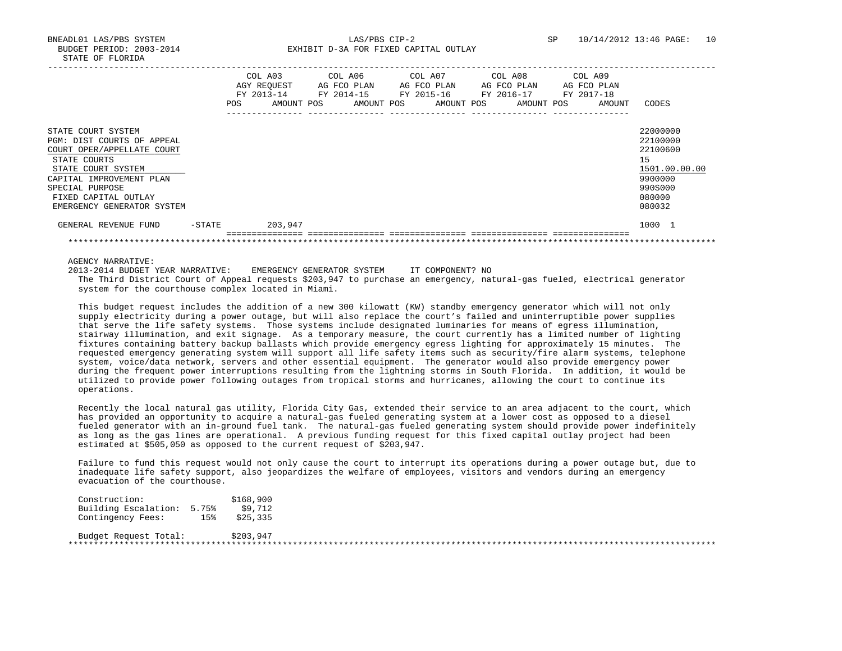|                                                                                                                                                                                                                           |        | <b>POS</b> | COL A03<br>AGY REOUEST<br>FY 2013-14<br>AMOUNT POS | COL A06<br>AG FCO PLAN<br>FY 2014-15<br>AMOUNT POS | COL A07 | AG FCO PLAN<br>FY 2015-16<br>AMOUNT POS | COL A08 | AG FCO PLAN<br>FY 2016-17<br>AMOUNT POS | COL A09<br>FY 2017-18 | AG FCO PLAN<br>AMOUNT | CODES                                                                                             |
|---------------------------------------------------------------------------------------------------------------------------------------------------------------------------------------------------------------------------|--------|------------|----------------------------------------------------|----------------------------------------------------|---------|-----------------------------------------|---------|-----------------------------------------|-----------------------|-----------------------|---------------------------------------------------------------------------------------------------|
| STATE COURT SYSTEM<br>PGM: DIST COURTS OF APPEAL<br>COURT OPER/APPELLATE COURT<br>STATE COURTS<br>STATE COURT SYSTEM<br>CAPITAL IMPROVEMENT PLAN<br>SPECIAL PURPOSE<br>FIXED CAPITAL OUTLAY<br>EMERGENCY GENERATOR SYSTEM |        |            |                                                    |                                                    |         |                                         |         |                                         |                       |                       | 22000000<br>22100000<br>22100600<br>15<br>1501.00.00.00<br>9900000<br>990S000<br>080000<br>080032 |
| GENERAL REVENUE FUND                                                                                                                                                                                                      | -STATE |            | 203,947                                            |                                                    |         |                                         |         |                                         |                       |                       | 1000 1                                                                                            |
|                                                                                                                                                                                                                           |        |            |                                                    |                                                    |         |                                         |         |                                         |                       |                       |                                                                                                   |

AGENCY NARRATIVE:

2013-2014 BUDGET YEAR NARRATIVE: EMERGENCY GENERATOR SYSTEM IT COMPONENT? NO

 The Third District Court of Appeal requests \$203,947 to purchase an emergency, natural-gas fueled, electrical generator system for the courthouse complex located in Miami.

 This budget request includes the addition of a new 300 kilowatt (KW) standby emergency generator which will not only supply electricity during a power outage, but will also replace the court's failed and uninterruptible power supplies that serve the life safety systems. Those systems include designated luminaries for means of egress illumination, stairway illumination, and exit signage. As a temporary measure, the court currently has a limited number of lighting fixtures containing battery backup ballasts which provide emergency egress lighting for approximately 15 minutes. The requested emergency generating system will support all life safety items such as security/fire alarm systems, telephone system, voice/data network, servers and other essential equipment. The generator would also provide emergency power during the frequent power interruptions resulting from the lightning storms in South Florida. In addition, it would be utilized to provide power following outages from tropical storms and hurricanes, allowing the court to continue its operations.

 Recently the local natural gas utility, Florida City Gas, extended their service to an area adjacent to the court, which has provided an opportunity to acquire a natural-gas fueled generating system at a lower cost as opposed to a diesel fueled generator with an in-ground fuel tank. The natural-gas fueled generating system should provide power indefinitely as long as the gas lines are operational. A previous funding request for this fixed capital outlay project had been estimated at \$505,050 as opposed to the current request of \$203,947.

 Failure to fund this request would not only cause the court to interrupt its operations during a power outage but, due to inadequate life safety support, also jeopardizes the welfare of employees, visitors and vendors during an emergency evacuation of the courthouse.

| Construction:              |     | \$168,900 |  |  |
|----------------------------|-----|-----------|--|--|
| Building Escalation: 5.75% |     | \$9,712   |  |  |
| Contingency Fees:          | 15% | \$25,335  |  |  |
| Budget Request Total:      |     | \$203,947 |  |  |
|                            |     |           |  |  |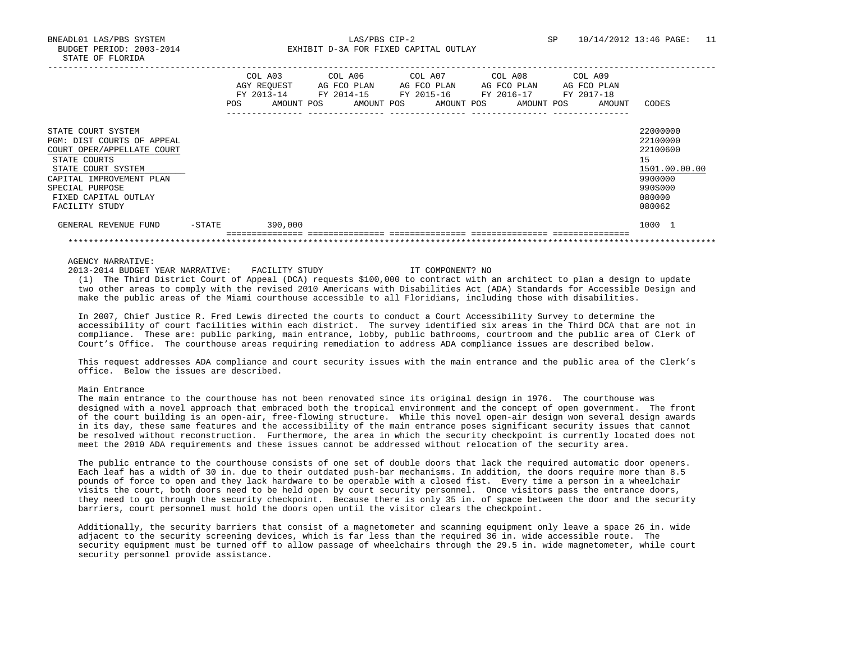BNEADL01 LAS/PBS SYSTEM LAS/PBS CIP-2 SP 10/14/2012 13:46 PAGE: 11 BUDGET PERIOD: 2003-2014 **EXHIBIT D-3A FOR FIXED CAPITAL OUTLAY** 

|                                                                                                                                                                                                               |           | <b>POS</b> | COL A03<br>AGY REOUEST<br>FY 2013-14<br>AMOUNT POS | COL A06<br>AG FCO PLAN<br>FY 2014-15 | AMOUNT POS | COL A07 | AG FCO PLAN<br>FY 2015-16<br>AMOUNT POS | FY 2016-17 | COL A08 | AG FCO PLAN<br>AMOUNT POS | COL A09<br>FY 2017-18 | AG FCO PLAN<br>AMOUNT | CODES                                                                                             |
|---------------------------------------------------------------------------------------------------------------------------------------------------------------------------------------------------------------|-----------|------------|----------------------------------------------------|--------------------------------------|------------|---------|-----------------------------------------|------------|---------|---------------------------|-----------------------|-----------------------|---------------------------------------------------------------------------------------------------|
|                                                                                                                                                                                                               |           |            |                                                    |                                      |            |         |                                         |            |         |                           |                       |                       |                                                                                                   |
| STATE COURT SYSTEM<br>PGM: DIST COURTS OF APPEAL<br>COURT OPER/APPELLATE COURT<br>STATE COURTS<br>STATE COURT SYSTEM<br>CAPITAL IMPROVEMENT PLAN<br>SPECIAL PURPOSE<br>FIXED CAPITAL OUTLAY<br>FACILITY STUDY |           |            |                                                    |                                      |            |         |                                         |            |         |                           |                       |                       | 22000000<br>22100000<br>22100600<br>15<br>1501.00.00.00<br>9900000<br>990S000<br>080000<br>080062 |
| GENERAL REVENUE FUND                                                                                                                                                                                          | $-$ STATE |            | 390,000                                            |                                      |            |         |                                         |            |         |                           |                       |                       | 1000 1                                                                                            |
|                                                                                                                                                                                                               |           |            |                                                    |                                      |            |         |                                         |            |         |                           |                       |                       |                                                                                                   |
|                                                                                                                                                                                                               |           |            |                                                    |                                      |            |         |                                         |            |         |                           |                       |                       |                                                                                                   |

#### AGENCY NARRATIVE:

### 2013-2014 BUDGET YEAR NARRATIVE: FACILITY STUDY IT COMPONENT? NO

 (1) The Third District Court of Appeal (DCA) requests \$100,000 to contract with an architect to plan a design to update two other areas to comply with the revised 2010 Americans with Disabilities Act (ADA) Standards for Accessible Design and make the public areas of the Miami courthouse accessible to all Floridians, including those with disabilities.

 In 2007, Chief Justice R. Fred Lewis directed the courts to conduct a Court Accessibility Survey to determine the accessibility of court facilities within each district. The survey identified six areas in the Third DCA that are not in compliance. These are: public parking, main entrance, lobby, public bathrooms, courtroom and the public area of Clerk of Court's Office. The courthouse areas requiring remediation to address ADA compliance issues are described below.

 This request addresses ADA compliance and court security issues with the main entrance and the public area of the Clerk's office. Below the issues are described.

### Main Entrance

 The main entrance to the courthouse has not been renovated since its original design in 1976. The courthouse was designed with a novel approach that embraced both the tropical environment and the concept of open government. The front of the court building is an open-air, free-flowing structure. While this novel open-air design won several design awards in its day, these same features and the accessibility of the main entrance poses significant security issues that cannot be resolved without reconstruction. Furthermore, the area in which the security checkpoint is currently located does not meet the 2010 ADA requirements and these issues cannot be addressed without relocation of the security area.

 The public entrance to the courthouse consists of one set of double doors that lack the required automatic door openers. Each leaf has a width of 30 in. due to their outdated push-bar mechanisms. In addition, the doors require more than 8.5 pounds of force to open and they lack hardware to be operable with a closed fist. Every time a person in a wheelchair visits the court, both doors need to be held open by court security personnel. Once visitors pass the entrance doors, they need to go through the security checkpoint. Because there is only 35 in. of space between the door and the security barriers, court personnel must hold the doors open until the visitor clears the checkpoint.

 Additionally, the security barriers that consist of a magnetometer and scanning equipment only leave a space 26 in. wide adjacent to the security screening devices, which is far less than the required 36 in. wide accessible route. The security equipment must be turned off to allow passage of wheelchairs through the 29.5 in. wide magnetometer, while court security personnel provide assistance.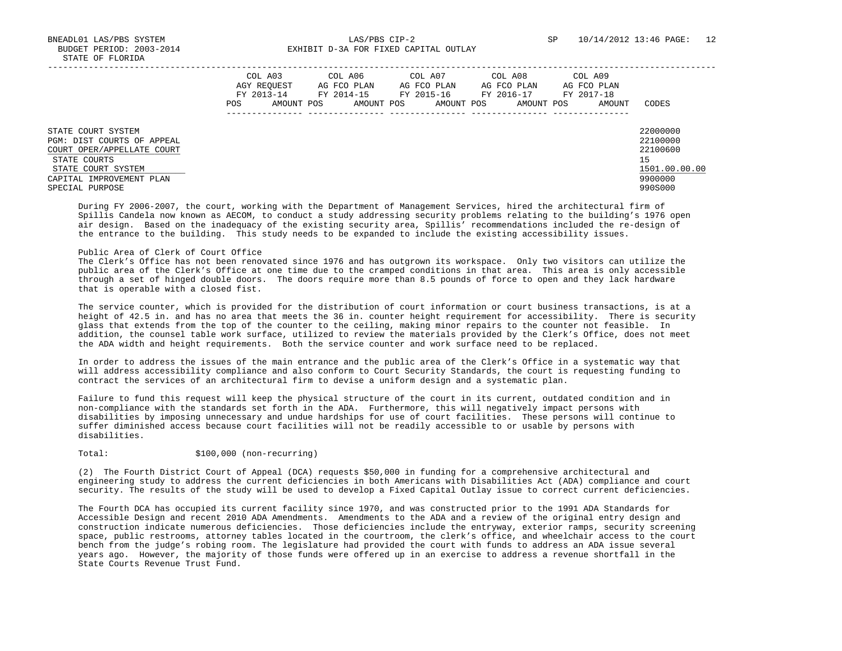BNEADL01 LAS/PBS SYSTEM LAS/PBS CIP-2 SP 10/14/2012 13:46 PAGE: 12 BUDGET PERIOD: 2003-2014 **EXHIBIT D-3A FOR FIXED CAPITAL OUTLAY** 

|                                                                                                                      | COL A03<br>AGY REOUEST<br>FY 2013-14<br>AMOUNT POS<br>POS. | COL A06<br>AG FCO PLAN<br>FY 2014-15<br>AMOUNT POS | COL A07<br>AG FCO PLAN<br>FY 2015-16<br>AMOUNT POS | COL A08<br>AG FCO PLAN<br>FY 2016-17<br>AMOUNT POS | COL A09<br>AG FCO PLAN<br>FY 2017-18<br>AMOUNT | CODES                                                   |
|----------------------------------------------------------------------------------------------------------------------|------------------------------------------------------------|----------------------------------------------------|----------------------------------------------------|----------------------------------------------------|------------------------------------------------|---------------------------------------------------------|
| STATE COURT SYSTEM<br>PGM: DIST COURTS OF APPEAL<br>COURT OPER/APPELLATE COURT<br>STATE COURTS<br>STATE COURT SYSTEM |                                                            |                                                    |                                                    |                                                    |                                                | 22000000<br>22100000<br>22100600<br>15<br>1501.00.00.00 |
| CAPITAL IMPROVEMENT PLAN<br>SPECIAL PURPOSE                                                                          |                                                            |                                                    |                                                    |                                                    |                                                | 9900000<br>990S000                                      |

 During FY 2006-2007, the court, working with the Department of Management Services, hired the architectural firm of Spillis Candela now known as AECOM, to conduct a study addressing security problems relating to the building's 1976 open air design. Based on the inadequacy of the existing security area, Spillis' recommendations included the re-design of the entrance to the building. This study needs to be expanded to include the existing accessibility issues.

#### Public Area of Clerk of Court Office

 The Clerk's Office has not been renovated since 1976 and has outgrown its workspace. Only two visitors can utilize the public area of the Clerk's Office at one time due to the cramped conditions in that area. This area is only accessible through a set of hinged double doors. The doors require more than 8.5 pounds of force to open and they lack hardware that is operable with a closed fist.

 The service counter, which is provided for the distribution of court information or court business transactions, is at a height of 42.5 in. and has no area that meets the 36 in. counter height requirement for accessibility. There is security glass that extends from the top of the counter to the ceiling, making minor repairs to the counter not feasible. In addition, the counsel table work surface, utilized to review the materials provided by the Clerk's Office, does not meet the ADA width and height requirements. Both the service counter and work surface need to be replaced.

 In order to address the issues of the main entrance and the public area of the Clerk's Office in a systematic way that will address accessibility compliance and also conform to Court Security Standards, the court is requesting funding to contract the services of an architectural firm to devise a uniform design and a systematic plan.

 Failure to fund this request will keep the physical structure of the court in its current, outdated condition and in non-compliance with the standards set forth in the ADA. Furthermore, this will negatively impact persons with disabilities by imposing unnecessary and undue hardships for use of court facilities. These persons will continue to suffer diminished access because court facilities will not be readily accessible to or usable by persons with disabilities.

Total:  $$100,000$  (non-recurring)

 (2) The Fourth District Court of Appeal (DCA) requests \$50,000 in funding for a comprehensive architectural and engineering study to address the current deficiencies in both Americans with Disabilities Act (ADA) compliance and court security. The results of the study will be used to develop a Fixed Capital Outlay issue to correct current deficiencies.

 The Fourth DCA has occupied its current facility since 1970, and was constructed prior to the 1991 ADA Standards for Accessible Design and recent 2010 ADA Amendments. Amendments to the ADA and a review of the original entry design and construction indicate numerous deficiencies. Those deficiencies include the entryway, exterior ramps, security screening space, public restrooms, attorney tables located in the courtroom, the clerk's office, and wheelchair access to the court bench from the judge's robing room. The legislature had provided the court with funds to address an ADA issue several years ago. However, the majority of those funds were offered up in an exercise to address a revenue shortfall in the State Courts Revenue Trust Fund.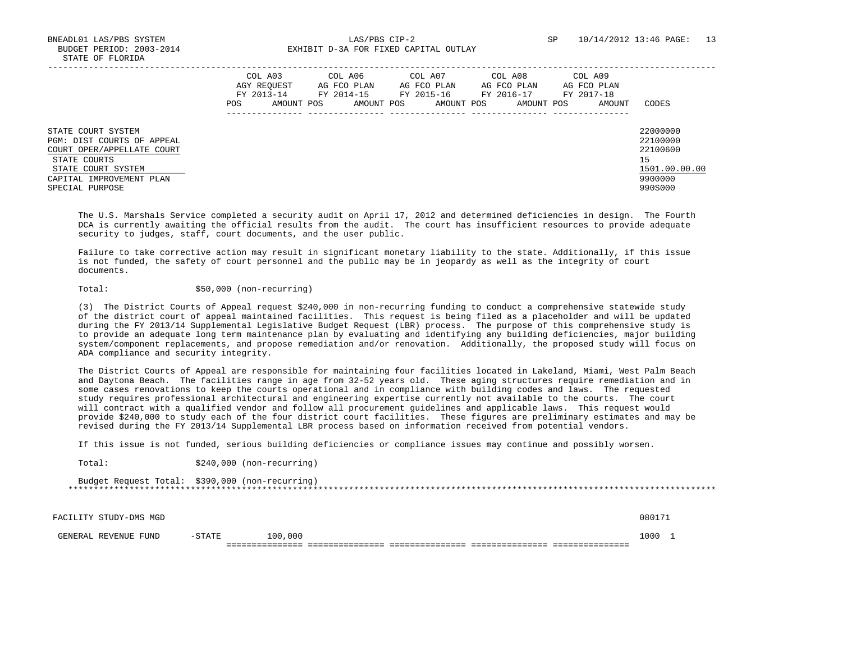BNEADL01 LAS/PBS SYSTEM LAS/PBS CIP-2 SP 10/14/2012 13:46 PAGE: 13 BUDGET PERIOD: 2003-2014 **EXHIBIT D-3A FOR FIXED CAPITAL OUTLAY** 

|                                                                                                                                                                     | COL A03<br>AGY REOUEST<br>FY 2013-14<br>POS | COL A06<br>AG FCO PLAN<br>FY 2014-15<br>AMOUNT POS<br>AMOUNT POS | COL A07<br>AG FCO PLAN<br>FY 2015-16<br>AMOUNT POS | COL A08<br>AG FCO PLAN<br>FY 2016-17<br>AMOUNT POS | COL A09<br>AG FCO PLAN<br>FY 2017-18<br>AMOUNT | CODES                                                                         |
|---------------------------------------------------------------------------------------------------------------------------------------------------------------------|---------------------------------------------|------------------------------------------------------------------|----------------------------------------------------|----------------------------------------------------|------------------------------------------------|-------------------------------------------------------------------------------|
| STATE COURT SYSTEM<br>PGM: DIST COURTS OF APPEAL<br>COURT OPER/APPELLATE COURT<br>STATE COURTS<br>STATE COURT SYSTEM<br>CAPITAL IMPROVEMENT PLAN<br>SPECIAL PURPOSE |                                             |                                                                  |                                                    |                                                    |                                                | 22000000<br>22100000<br>22100600<br>15<br>1501.00.00.00<br>9900000<br>990S000 |

 The U.S. Marshals Service completed a security audit on April 17, 2012 and determined deficiencies in design. The Fourth DCA is currently awaiting the official results from the audit. The court has insufficient resources to provide adequate security to judges, staff, court documents, and the user public.

 Failure to take corrective action may result in significant monetary liability to the state. Additionally, if this issue is not funded, the safety of court personnel and the public may be in jeopardy as well as the integrity of court documents.

Total:  $$50,000 (non-recurring)$ 

 (3) The District Courts of Appeal request \$240,000 in non-recurring funding to conduct a comprehensive statewide study of the district court of appeal maintained facilities. This request is being filed as a placeholder and will be updated during the FY 2013/14 Supplemental Legislative Budget Request (LBR) process. The purpose of this comprehensive study is to provide an adequate long term maintenance plan by evaluating and identifying any building deficiencies, major building system/component replacements, and propose remediation and/or renovation. Additionally, the proposed study will focus on ADA compliance and security integrity.

 The District Courts of Appeal are responsible for maintaining four facilities located in Lakeland, Miami, West Palm Beach and Daytona Beach. The facilities range in age from 32-52 years old. These aging structures require remediation and in some cases renovations to keep the courts operational and in compliance with building codes and laws. The requested study requires professional architectural and engineering expertise currently not available to the courts. The court will contract with a qualified vendor and follow all procurement guidelines and applicable laws. This request would provide \$240,000 to study each of the four district court facilities. These figures are preliminary estimates and may be revised during the FY 2013/14 Supplemental LBR process based on information received from potential vendors.

If this issue is not funded, serious building deficiencies or compliance issues may continue and possibly worsen.

Total:  $$240,000$  (non-recurring)

| Budget Request Total: \$390,000 (non-recurring) |
|-------------------------------------------------|
|                                                 |

FACILITY STUDY-DMS MGD 080171

GENERAL REVENUE FUND -STATE 100,000 1000 1000 1000 1000 1 =============== =============== =============== =============== ===============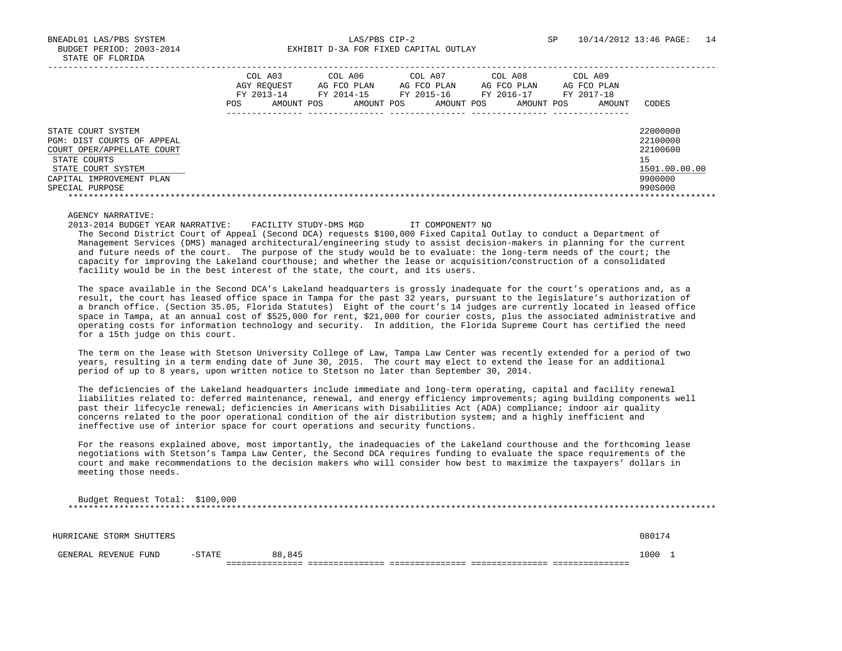BNEADL01 LAS/PBS SYSTEM LAS/PBS CIP-2 SP 10/14/2012 13:46 PAGE: 14 BUDGET PERIOD: 2003-2014 **EXHIBIT D-3A FOR FIXED CAPITAL OUTLAY** 

|                                                                                                                                                                     | COL A03<br>AGY REOUEST<br>FY 2013-14<br>AMOUNT POS<br>POS. | COL A06<br>AG FCO PLAN<br>FY 2014-15<br>AMOUNT POS | COL A07<br>AG FCO PLAN<br>FY 2015-16<br>AMOUNT POS | COL A08<br>AG FCO PLAN<br>FY 2016-17<br>AMOUNT POS | COL A09<br>AG FCO PLAN<br>FY 2017-18<br>AMOUNT | CODES                                                                         |
|---------------------------------------------------------------------------------------------------------------------------------------------------------------------|------------------------------------------------------------|----------------------------------------------------|----------------------------------------------------|----------------------------------------------------|------------------------------------------------|-------------------------------------------------------------------------------|
| STATE COURT SYSTEM<br>PGM: DIST COURTS OF APPEAL<br>COURT OPER/APPELLATE COURT<br>STATE COURTS<br>STATE COURT SYSTEM<br>CAPITAL IMPROVEMENT PLAN<br>SPECIAL PURPOSE |                                                            |                                                    |                                                    |                                                    |                                                | 22000000<br>22100000<br>22100600<br>15<br>1501.00.00.00<br>9900000<br>990S000 |

# AGENCY NARRATIVE:

 $Budgot$   $Bogyod$   $Tohol$ :  $6100,000$ 

 2013-2014 BUDGET YEAR NARRATIVE: FACILITY STUDY-DMS MGD IT COMPONENT? NO The Second District Court of Appeal (Second DCA) requests \$100,000 Fixed Capital Outlay to conduct a Department of Management Services (DMS) managed architectural/engineering study to assist decision-makers in planning for the current and future needs of the court. The purpose of the study would be to evaluate: the long-term needs of the court; the capacity for improving the Lakeland courthouse; and whether the lease or acquisition/construction of a consolidated facility would be in the best interest of the state, the court, and its users.

 The space available in the Second DCA's Lakeland headquarters is grossly inadequate for the court's operations and, as a result, the court has leased office space in Tampa for the past 32 years, pursuant to the legislature's authorization of a branch office. (Section 35.05, Florida Statutes) Eight of the court's 14 judges are currently located in leased office space in Tampa, at an annual cost of \$525,000 for rent, \$21,000 for courier costs, plus the associated administrative and operating costs for information technology and security. In addition, the Florida Supreme Court has certified the need for a 15th judge on this court.

 The term on the lease with Stetson University College of Law, Tampa Law Center was recently extended for a period of two years, resulting in a term ending date of June 30, 2015. The court may elect to extend the lease for an additional period of up to 8 years, upon written notice to Stetson no later than September 30, 2014.

 The deficiencies of the Lakeland headquarters include immediate and long-term operating, capital and facility renewal liabilities related to: deferred maintenance, renewal, and energy efficiency improvements; aging building components well past their lifecycle renewal; deficiencies in Americans with Disabilities Act (ADA) compliance; indoor air quality concerns related to the poor operational condition of the air distribution system; and a highly inefficient and ineffective use of interior space for court operations and security functions.

 For the reasons explained above, most importantly, the inadequacies of the Lakeland courthouse and the forthcoming lease negotiations with Stetson's Tampa Law Center, the Second DCA requires funding to evaluate the space requirements of the court and make recommendations to the decision makers who will consider how best to maximize the taxpayers' dollars in meeting those needs.

| Budget Request Total. \$100,000 |          |        |  |        |
|---------------------------------|----------|--------|--|--------|
|                                 |          |        |  |        |
| HURRICANE STORM SHUTTERS        |          |        |  | 080174 |
| GENERAL REVENUE FUND            | $-STATE$ | 88,845 |  | 1000 1 |
|                                 |          |        |  |        |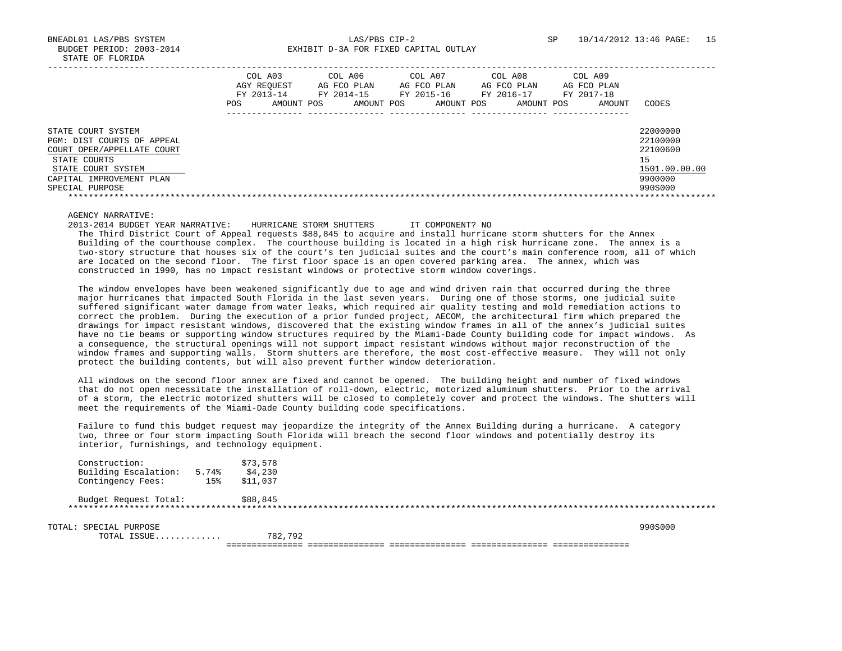BNEADL01 LAS/PBS SYSTEM LAS/PBS CIP-2 SP 10/14/2012 13:46 PAGE: 15 BUDGET PERIOD: 2003-2014 **EXHIBIT D-3A FOR FIXED CAPITAL OUTLAY** 

|                                                                                                                                                                     | COL A03<br>AGY REOUEST<br>FY 2013-14<br>AMOUNT POS<br>POS. | COL A06<br>AG FCO PLAN<br>FY 2014-15<br>AMOUNT POS | COL A07<br>AG FCO PLAN<br>FY 2015-16<br>AMOUNT POS | COL A08<br>AG FCO PLAN<br>FY 2016-17<br>AMOUNT POS | COL A09<br>AG FCO PLAN<br>FY 2017-18<br>AMOUNT | CODES                                                                         |
|---------------------------------------------------------------------------------------------------------------------------------------------------------------------|------------------------------------------------------------|----------------------------------------------------|----------------------------------------------------|----------------------------------------------------|------------------------------------------------|-------------------------------------------------------------------------------|
| STATE COURT SYSTEM<br>PGM: DIST COURTS OF APPEAL<br>COURT OPER/APPELLATE COURT<br>STATE COURTS<br>STATE COURT SYSTEM<br>CAPITAL IMPROVEMENT PLAN<br>SPECIAL PURPOSE |                                                            |                                                    |                                                    |                                                    |                                                | 22000000<br>22100000<br>22100600<br>15<br>1501.00.00.00<br>9900000<br>990S000 |

# AGENCY NARRATIVE:

 2013-2014 BUDGET YEAR NARRATIVE: HURRICANE STORM SHUTTERS IT COMPONENT? NO The Third District Court of Appeal requests \$88,845 to acquire and install hurricane storm shutters for the Annex Building of the courthouse complex. The courthouse building is located in a high risk hurricane zone. The annex is a two-story structure that houses six of the court's ten judicial suites and the court's main conference room, all of which are located on the second floor. The first floor space is an open covered parking area. The annex, which was constructed in 1990, has no impact resistant windows or protective storm window coverings.

 The window envelopes have been weakened significantly due to age and wind driven rain that occurred during the three major hurricanes that impacted South Florida in the last seven years. During one of those storms, one judicial suite suffered significant water damage from water leaks, which required air quality testing and mold remediation actions to correct the problem. During the execution of a prior funded project, AECOM, the architectural firm which prepared the drawings for impact resistant windows, discovered that the existing window frames in all of the annex's judicial suites have no tie beams or supporting window structures required by the Miami-Dade County building code for impact windows. As a consequence, the structural openings will not support impact resistant windows without major reconstruction of the window frames and supporting walls. Storm shutters are therefore, the most cost-effective measure. They will not only protect the building contents, but will also prevent further window deterioration.

 All windows on the second floor annex are fixed and cannot be opened. The building height and number of fixed windows that do not open necessitate the installation of roll-down, electric, motorized aluminum shutters. Prior to the arrival of a storm, the electric motorized shutters will be closed to completely cover and protect the windows. The shutters will meet the requirements of the Miami-Dade County building code specifications.

 Failure to fund this budget request may jeopardize the integrity of the Annex Building during a hurricane. A category two, three or four storm impacting South Florida will breach the second floor windows and potentially destroy its interior, furnishings, and technology equipment.

| Construction:                         |       | \$73,578 |         |
|---------------------------------------|-------|----------|---------|
| Building Escalation:                  | 5.74% | \$4,230  |         |
| Contingency Fees:                     | 15%   | \$11,037 |         |
| Budget Request Total:                 |       | \$88,845 |         |
| TOTAL: SPECIAL PURPOSE<br>TOTAL ISSUE |       | 782,792  | 990S000 |
|                                       |       |          |         |